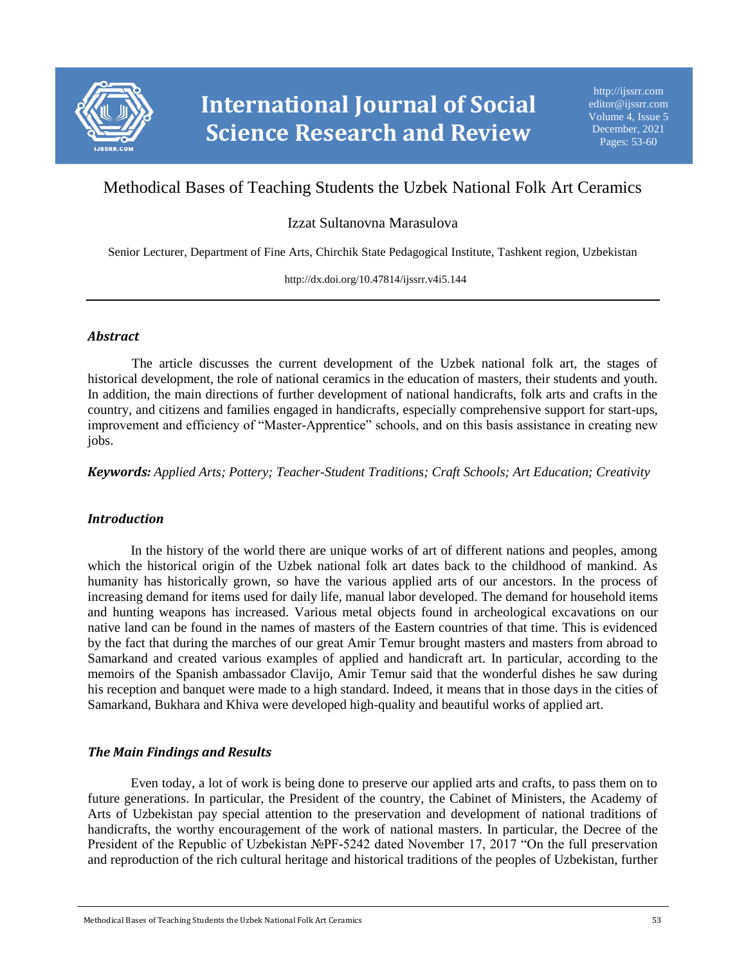

# Methodical Bases of Teaching Students the Uzbek National Folk Art Ceramics

### Izzat Sultanovna Marasulova

Senior Lecturer, Department of Fine Arts, Chirchik State Pedagogical Institute, Tashkent region, Uzbekistan

http://dx.doi.org/10.47814/ijssrr.v4i5.144

#### *Abstract*

The article discusses the current development of the Uzbek national folk art, the stages of historical development, the role of national ceramics in the education of masters, their students and youth. In addition, the main directions of further development of national handicrafts, folk arts and crafts in the country, and citizens and families engaged in handicrafts, especially comprehensive support for start-ups, improvement and efficiency of "Master-Apprentice" schools, and on this basis assistance in creating new jobs.

*Keywords: Applied Arts; Pottery; Teacher-Student Traditions; Craft Schools; Art Education; Creativity*

#### *Introduction*

In the history of the world there are unique works of art of different nations and peoples, among which the historical origin of the Uzbek national folk art dates back to the childhood of mankind. As humanity has historically grown, so have the various applied arts of our ancestors. In the process of increasing demand for items used for daily life, manual labor developed. The demand for household items and hunting weapons has increased. Various metal objects found in archeological excavations on our native land can be found in the names of masters of the Eastern countries of that time. This is evidenced by the fact that during the marches of our great Amir Temur brought masters and masters from abroad to Samarkand and created various examples of applied and handicraft art. In particular, according to the memoirs of the Spanish ambassador Clavijo, Amir Temur said that the wonderful dishes he saw during his reception and banquet were made to a high standard. Indeed, it means that in those days in the cities of Samarkand, Bukhara and Khiva were developed high-quality and beautiful works of applied art.

#### *The Main Findings and Results*

Even today, a lot of work is being done to preserve our applied arts and crafts, to pass them on to future generations. In particular, the President of the country, the Cabinet of Ministers, the Academy of Arts of Uzbekistan pay special attention to the preservation and development of national traditions of handicrafts, the worthy encouragement of the work of national masters. In particular, the Decree of the President of the Republic of Uzbekistan №PF-5242 dated November 17, 2017 "On the full preservation and reproduction of the rich cultural heritage and historical traditions of the peoples of Uzbekistan, further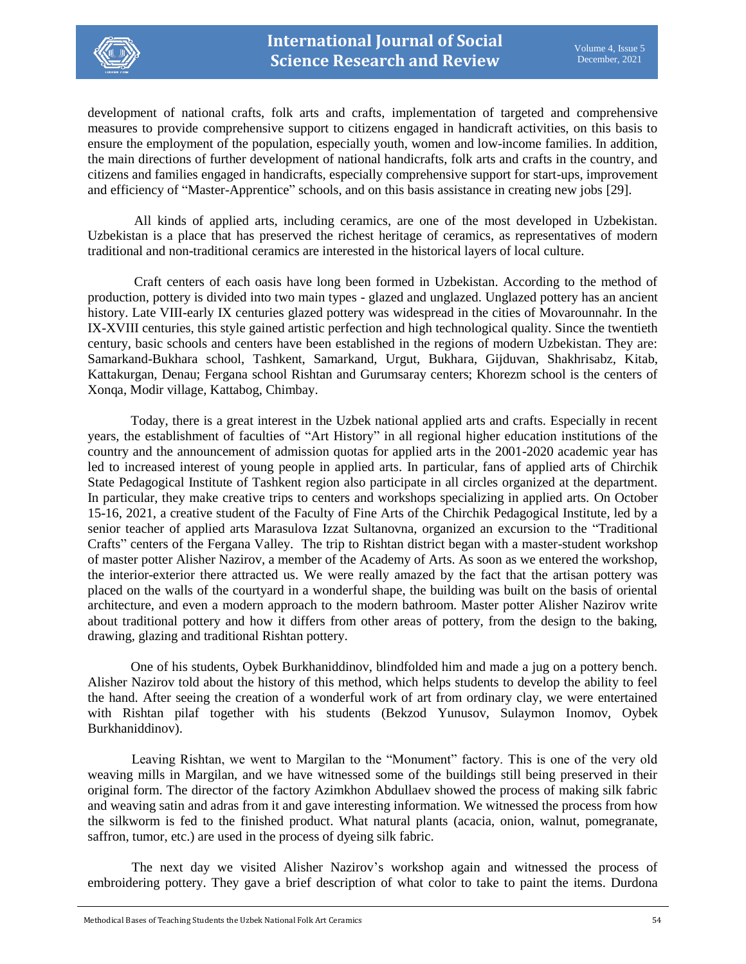

development of national crafts, folk arts and crafts, implementation of targeted and comprehensive measures to provide comprehensive support to citizens engaged in handicraft activities, on this basis to ensure the employment of the population, especially youth, women and low-income families. In addition, the main directions of further development of national handicrafts, folk arts and crafts in the country, and citizens and families engaged in handicrafts, especially comprehensive support for start-ups, improvement and efficiency of "Master-Apprentice" schools, and on this basis assistance in creating new jobs [29].

All kinds of applied arts, including ceramics, are one of the most developed in Uzbekistan. Uzbekistan is a place that has preserved the richest heritage of ceramics, as representatives of modern traditional and non-traditional ceramics are interested in the historical layers of local culture.

Craft centers of each oasis have long been formed in Uzbekistan. According to the method of production, pottery is divided into two main types - glazed and unglazed. Unglazed pottery has an ancient history. Late VIII-early IX centuries glazed pottery was widespread in the cities of Movarounnahr. In the IX-XVIII centuries, this style gained artistic perfection and high technological quality. Since the twentieth century, basic schools and centers have been established in the regions of modern Uzbekistan. They are: Samarkand-Bukhara school, Tashkent, Samarkand, Urgut, Bukhara, Gijduvan, Shakhrisabz, Kitab, Kattakurgan, Denau; Fergana school Rishtan and Gurumsaray centers; Khorezm school is the centers of Xonqa, Modir village, Kattabog, Chimbay.

Today, there is a great interest in the Uzbek national applied arts and crafts. Especially in recent years, the establishment of faculties of "Art History" in all regional higher education institutions of the country and the announcement of admission quotas for applied arts in the 2001-2020 academic year has led to increased interest of young people in applied arts. In particular, fans of applied arts of Chirchik State Pedagogical Institute of Tashkent region also participate in all circles organized at the department. In particular, they make creative trips to centers and workshops specializing in applied arts. On October 15-16, 2021, a creative student of the Faculty of Fine Arts of the Chirchik Pedagogical Institute, led by a senior teacher of applied arts Marasulova Izzat Sultanovna, organized an excursion to the "Traditional Crafts" centers of the Fergana Valley. The trip to Rishtan district began with a master-student workshop of master potter Alisher Nazirov, a member of the Academy of Arts. As soon as we entered the workshop, the interior-exterior there attracted us. We were really amazed by the fact that the artisan pottery was placed on the walls of the courtyard in a wonderful shape, the building was built on the basis of oriental architecture, and even a modern approach to the modern bathroom. Master potter Alisher Nazirov write about traditional pottery and how it differs from other areas of pottery, from the design to the baking, drawing, glazing and traditional Rishtan pottery.

One of his students, Oybek Burkhaniddinov, blindfolded him and made a jug on a pottery bench. Alisher Nazirov told about the history of this method, which helps students to develop the ability to feel the hand. After seeing the creation of a wonderful work of art from ordinary clay, we were entertained with Rishtan pilaf together with his students (Bekzod Yunusov, Sulaymon Inomov, Oybek Burkhaniddinov).

Leaving Rishtan, we went to Margilan to the "Monument" factory. This is one of the very old weaving mills in Margilan, and we have witnessed some of the buildings still being preserved in their original form. The director of the factory Azimkhon Abdullaev showed the process of making silk fabric and weaving satin and adras from it and gave interesting information. We witnessed the process from how the silkworm is fed to the finished product. What natural plants (acacia, onion, walnut, pomegranate, saffron, tumor, etc.) are used in the process of dyeing silk fabric.

The next day we visited Alisher Nazirov's workshop again and witnessed the process of embroidering pottery. They gave a brief description of what color to take to paint the items. Durdona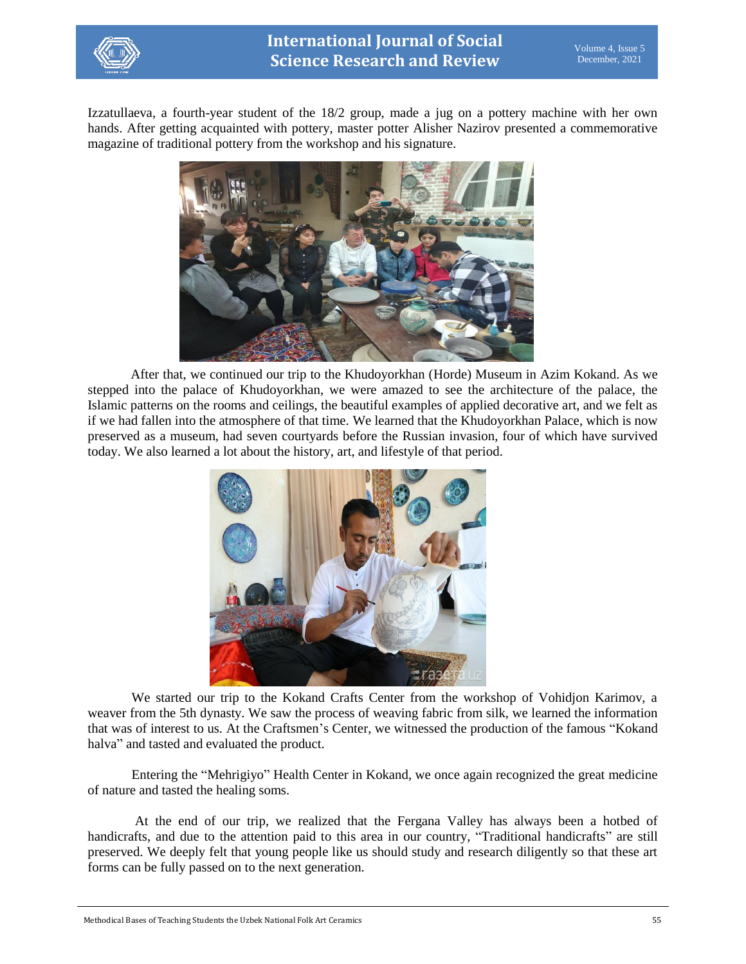

Izzatullaeva, a fourth-year student of the 18/2 group, made a jug on a pottery machine with her own hands. After getting acquainted with pottery, master potter Alisher Nazirov presented a commemorative magazine of traditional pottery from the workshop and his signature.



After that, we continued our trip to the Khudoyorkhan (Horde) Museum in Azim Kokand. As we stepped into the palace of Khudoyorkhan, we were amazed to see the architecture of the palace, the Islamic patterns on the rooms and ceilings, the beautiful examples of applied decorative art, and we felt as if we had fallen into the atmosphere of that time. We learned that the Khudoyorkhan Palace, which is now preserved as a museum, had seven courtyards before the Russian invasion, four of which have survived today. We also learned a lot about the history, art, and lifestyle of that period.



We started our trip to the Kokand Crafts Center from the workshop of Vohidjon Karimov, a weaver from the 5th dynasty. We saw the process of weaving fabric from silk, we learned the information that was of interest to us. At the Craftsmen's Center, we witnessed the production of the famous "Kokand halva" and tasted and evaluated the product.

Entering the "Mehrigiyo" Health Center in Kokand, we once again recognized the great medicine of nature and tasted the healing soms.

At the end of our trip, we realized that the Fergana Valley has always been a hotbed of handicrafts, and due to the attention paid to this area in our country, "Traditional handicrafts" are still preserved. We deeply felt that young people like us should study and research diligently so that these art forms can be fully passed on to the next generation.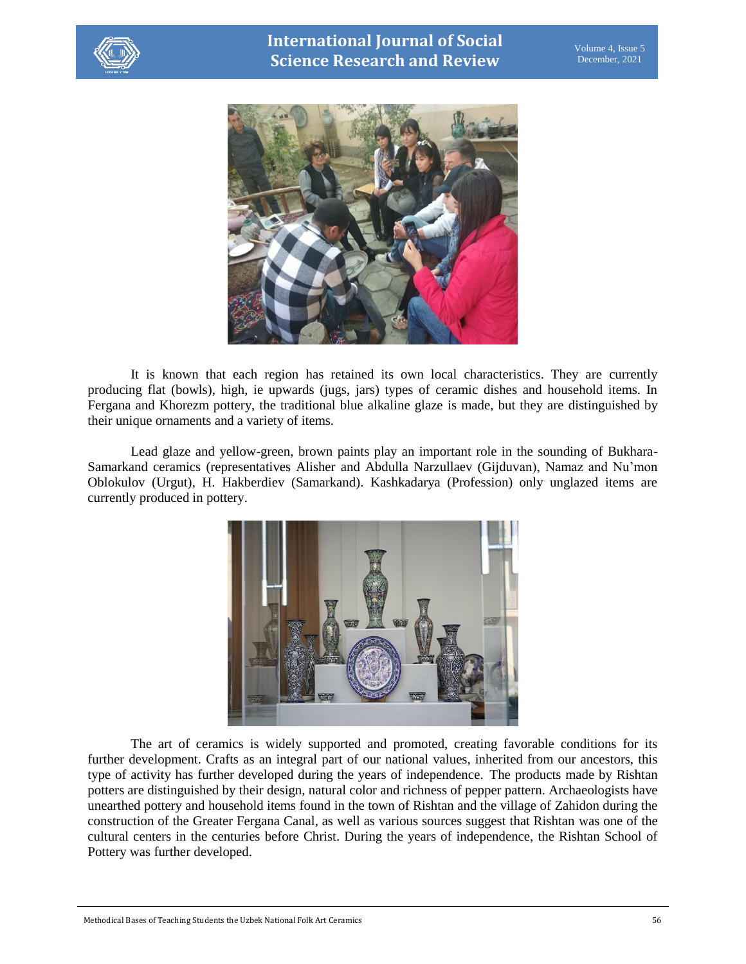



It is known that each region has retained its own local characteristics. They are currently producing flat (bowls), high, ie upwards (jugs, jars) types of ceramic dishes and household items. In Fergana and Khorezm pottery, the traditional blue alkaline glaze is made, but they are distinguished by their unique ornaments and a variety of items.

Lead glaze and yellow-green, brown paints play an important role in the sounding of Bukhara-Samarkand ceramics (representatives Alisher and Abdulla Narzullaev (Gijduvan), Namaz and Nu'mon Oblokulov (Urgut), H. Hakberdiev (Samarkand). Kashkadarya (Profession) only unglazed items are currently produced in pottery.



The art of ceramics is widely supported and promoted, creating favorable conditions for its further development. Crafts as an integral part of our national values, inherited from our ancestors, this type of activity has further developed during the years of independence. The products made by Rishtan potters are distinguished by their design, natural color and richness of pepper pattern. Archaeologists have unearthed pottery and household items found in the town of Rishtan and the village of Zahidon during the construction of the Greater Fergana Canal, as well as various sources suggest that Rishtan was one of the cultural centers in the centuries before Christ. During the years of independence, the Rishtan School of Pottery was further developed.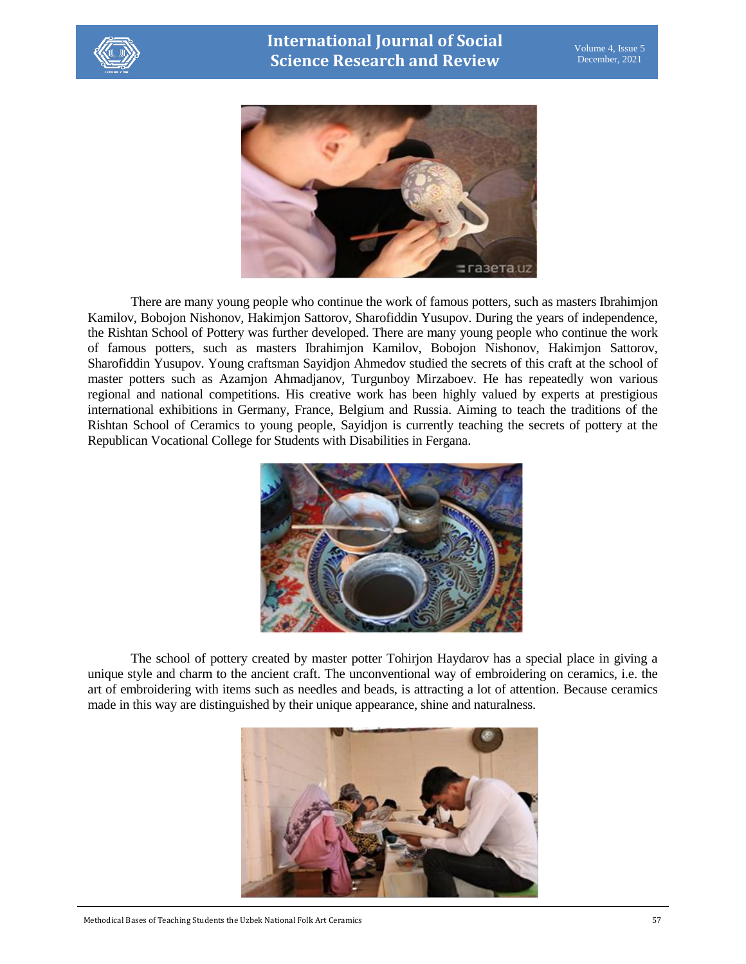



There are many young people who continue the work of famous potters, such as masters Ibrahimjon Kamilov, Bobojon Nishonov, Hakimjon Sattorov, Sharofiddin Yusupov. During the years of independence, the Rishtan School of Pottery was further developed. There are many young people who continue the work of famous potters, such as masters Ibrahimjon Kamilov, Bobojon Nishonov, Hakimjon Sattorov, Sharofiddin Yusupov. Young craftsman Sayidjon Ahmedov studied the secrets of this craft at the school of master potters such as Azamjon Ahmadjanov, Turgunboy Mirzaboev. He has repeatedly won various regional and national competitions. His creative work has been highly valued by experts at prestigious international exhibitions in Germany, France, Belgium and Russia. Aiming to teach the traditions of the Rishtan School of Ceramics to young people, Sayidjon is currently teaching the secrets of pottery at the Republican Vocational College for Students with Disabilities in Fergana.



The school of pottery created by master potter Tohirjon Haydarov has a special place in giving a unique style and charm to the ancient craft. The unconventional way of embroidering on ceramics, i.e. the art of embroidering with items such as needles and beads, is attracting a lot of attention. Because ceramics made in this way are distinguished by their unique appearance, shine and naturalness.

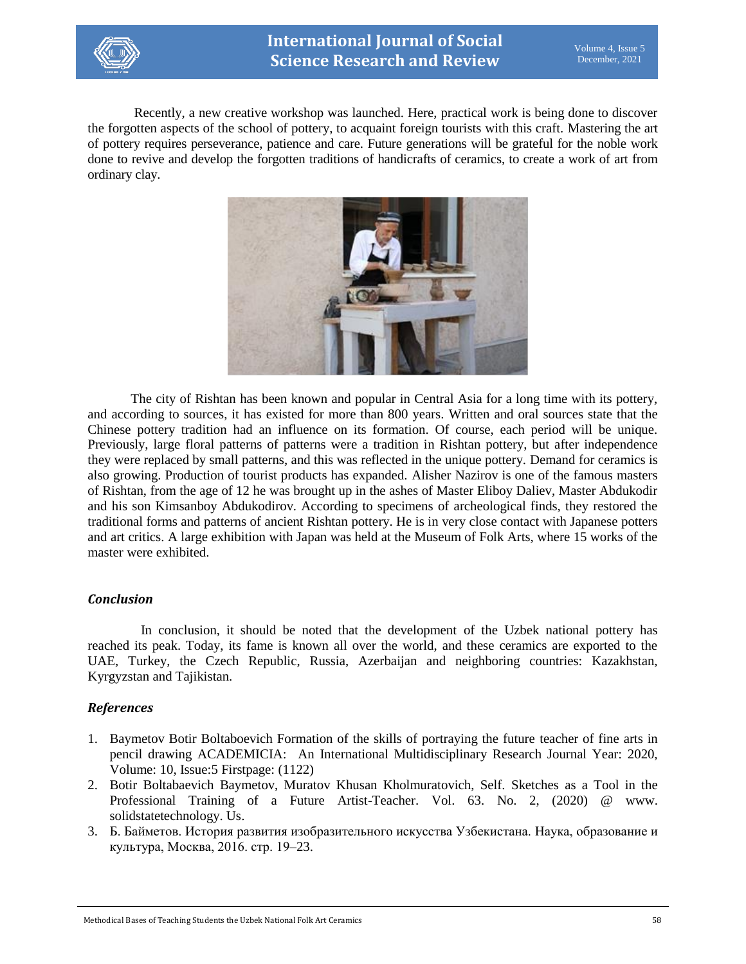

Recently, a new creative workshop was launched. Here, practical work is being done to discover the forgotten aspects of the school of pottery, to acquaint foreign tourists with this craft. Mastering the art of pottery requires perseverance, patience and care. Future generations will be grateful for the noble work done to revive and develop the forgotten traditions of handicrafts of ceramics, to create a work of art from ordinary clay.



The city of Rishtan has been known and popular in Central Asia for a long time with its pottery, and according to sources, it has existed for more than 800 years. Written and oral sources state that the Chinese pottery tradition had an influence on its formation. Of course, each period will be unique. Previously, large floral patterns of patterns were a tradition in Rishtan pottery, but after independence they were replaced by small patterns, and this was reflected in the unique pottery. Demand for ceramics is also growing. Production of tourist products has expanded. Alisher Nazirov is one of the famous masters of Rishtan, from the age of 12 he was brought up in the ashes of Master Eliboy Daliev, Master Abdukodir and his son Kimsanboy Abdukodirov. According to specimens of archeological finds, they restored the traditional forms and patterns of ancient Rishtan pottery. He is in very close contact with Japanese potters and art critics. A large exhibition with Japan was held at the Museum of Folk Arts, where 15 works of the master were exhibited.

#### *Conclusion*

 In conclusion, it should be noted that the development of the Uzbek national pottery has reached its peak. Today, its fame is known all over the world, and these ceramics are exported to the UAE, Turkey, the Czech Republic, Russia, Azerbaijan and neighboring countries: Kazakhstan, Kyrgyzstan and Tajikistan.

## *References*

- 1. Baymetov Botir Boltaboevich Formation of the skills of portraying the future teacher of fine arts in pencil drawing ACADEMICIA: An International Multidisciplinary Research Journal Year: 2020, Volume: 10, Issue:5 Firstpage: (1122)
- 2. Botir Boltabaevich Baymetov, Muratov Khusan Kholmuratovich, Self. Sketches as a Tool in the Professional Training of a Future Artist-Teacher. Vol. 63. No. 2, (2020) @ www. solidstatetechnology. Us.
- 3. Б. Байметов. История развития изобразительного искусства Узбекистана. Наука, образование и культура, Москва, 2016. стр. 19–23.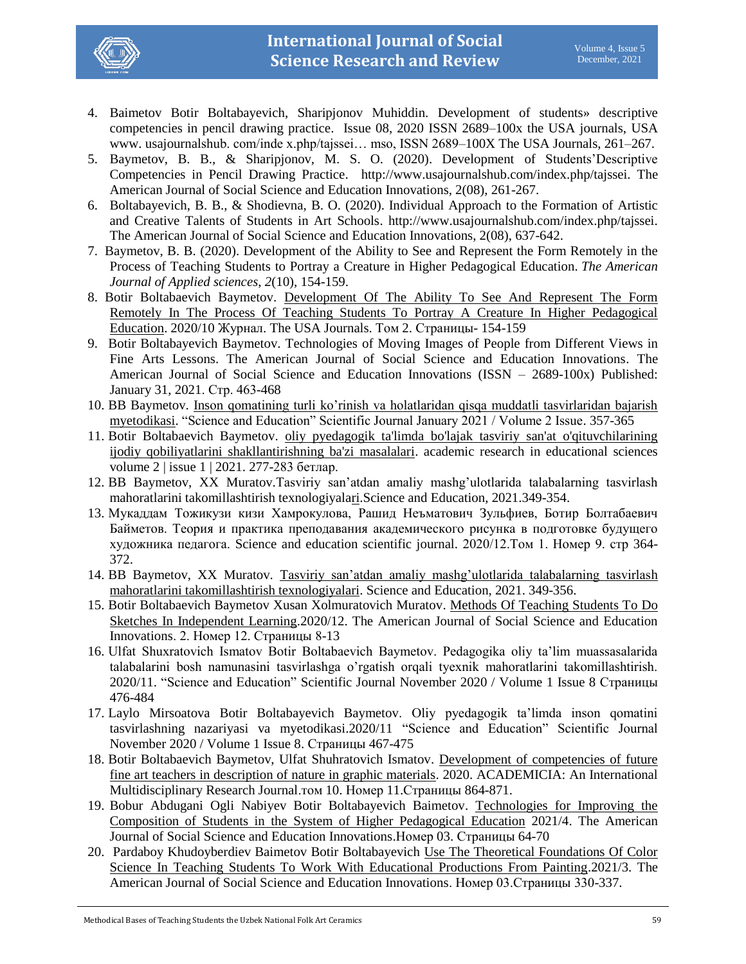

- 4. Baimetov Botir Boltabayevich, Sharipjonov Мuhiddin. Development of students» descriptive competencies in pencil drawing practice. Issue 08, 2020 ISSN 2689–100x the USA journals, USA www. usajournalshub. com/inde x.php/tajssei… mso, ISSN 2689–100X The USA Journals, 261–267.
- 5. Baymetov, B. B., & Sharipjonov, M. S. O. (2020). Development of Students'Descriptive Competencies in Pencil Drawing Practice. http://www.usajournalshub.com/index.php/tajssei. The American Journal of Social Science and Education Innovations, 2(08), 261-267.
- 6. Boltabayevich, B. B., & Shodievna, B. O. (2020). Individual Approach to the Formation of Artistic and Creative Talents of Students in Art Schools. http://www.usajournalshub.com/index.php/tajssei. The American Journal of Social Science and Education Innovations, 2(08), 637-642.
- 7. Baymetov, B. B. (2020). Development of the Ability to See and Represent the Form Remotely in the Process of Teaching Students to Portray a Creature in Higher Pedagogical Education. *The American Journal of Applied sciences*, *2*(10), 154-159.
- 8. Botir Boltabaevich Baymetov. [Development Of The Ability To See And Represent The Form](https://usajournalshub.com/index.php/tajas/article/view/1305)  [Remotely In The Process Of Teaching Students To Portray A Creature In Higher Pedagogical](https://usajournalshub.com/index.php/tajas/article/view/1305)  [Education.](https://usajournalshub.com/index.php/tajas/article/view/1305) 2020/10 Журнал. The USA Journals. Том 2. Страницы- 154-159
- 9. Botir Boltabayevich Baymetov. Technologies of Moving Images of People from Different Views in Fine Arts Lessons. The American Journal of Social Science and Education Innovations. The American Journal of Social Science and Education Innovations (ISSN – 2689-100x) Published: January 31, 2021. Стр. 463-468
- 10. BB Baymetov. [Inson qomatining turli ko'rinish va holatlaridan qisqa muddatli tasvirlaridan bajarish](javascript:void(0))  [myetodikasi.](javascript:void(0)) "Science and Education" Scientific Journal January 2021 / Volume 2 Issue. 357-365
- 11. Botir Boltabaevich Baymetov. [oliy pyedagogik ta'limda bo'lajak tasviriy san'at o'qituvchilarining](https://cyberleninka.ru/article/n/oliy-pyedagogik-talimda-bolajak-tasviriy-sanat-oqituvchilarining-ijodiy-qobiliyatlarini-shakllantirishning-bazi-masalalari)  [ijodiy qobiliyatlarini shakllantirishning ba'zi masalalari.](https://cyberleninka.ru/article/n/oliy-pyedagogik-talimda-bolajak-tasviriy-sanat-oqituvchilarining-ijodiy-qobiliyatlarini-shakllantirishning-bazi-masalalari) academic research in educational sciences volume 2 | issue 1 | 2021. 277-283 бетлар.
- 12. BB Baymetov, XX Muratov.Tasviriy san'atdan amaliy mashg'ulotlarida talabalarning tasvirlash mahoratlarini takomillashtirish texnologiyal[ari.](javascript:void(0))Science and Education, 2021.349-354.
- 13. Мукаддам Тожикузи кизи Хамрокулова, Рашид Неъматович Зульфиев, Ботир Болтабаевич Байметов. Теория и практика преподавания академического рисунка в подготовке будущего художника педагога. Science and education scientific journal. 2020/12.Том 1. Номер 9. стр 364- 372.
- 14. BB Baymetov, XX Muratov. [Tasviriy san'atdan amaliy mashg'ulotlarida talabalarning tasvirlash](https://scholar.google.com/scholar?oi=bibs&cluster=14119418580898047182&btnI=1&hl=ru&authuser=1)  [mahoratlarini takomillashtirish texnologiyalari.](https://scholar.google.com/scholar?oi=bibs&cluster=14119418580898047182&btnI=1&hl=ru&authuser=1) Science and Education, 2021. 349-356.
- 15. Botir Boltabaevich Baymetov Xusan Xolmuratovich Muratov. [Methods Of Teaching Students To Do](https://usajournalshub.com/index.php/tajssei/article/view/1608)  [Sketches In Independent Learning.](https://usajournalshub.com/index.php/tajssei/article/view/1608)2020/12. The American Journal of Social Science and Education Innovations. 2. Номер 12. Страницы 8-13
- 16. Ulfat Shuxratovich Ismatov Botir Boltabaevich Baymetov. Pedagogika oliy ta'lim muassasalarida talabalarini bosh namunasini tasvirlashga o'rgatish orqali tyexnik mahoratlarini takomillashtirish. 2020/11. "Science and Education" Scientific Journal November 2020 / Volume 1 Issue 8 Страницы 476-484
- 17. Laylo Mirsoatova Botir Boltabayevich Baymetov. Oliy pyedagogik ta'limda inson qomatini tasvirlashning nazariyasi va myetodikasi.2020/11 "Science and Education" Scientific Journal November 2020 / Volume 1 Issue 8. Страницы 467-475
- 18. Botir Boltabaevich Baymetov, Ulfat Shuhratovich Ismatov. [Development of competencies of future](https://www.indianjournals.com/ijor.aspx?target=ijor:aca&volume=10&issue=11&article=139)  [fine art teachers in description of nature in graphic materials.](https://www.indianjournals.com/ijor.aspx?target=ijor:aca&volume=10&issue=11&article=139) 2020. ACADEMICIA: An International Multidisciplinary Research Journal.том 10. Номер 11.Страницы 864-871.
- 19. Bobur Abdugani Ogli Nabiyev Botir Boltabayevich Baimetov. [Technologies for Improving the](https://www.usajournalshub.com/index.php/tajssei/article/view/2504)  [Composition of Students in the System of Higher Pedagogical Education](https://www.usajournalshub.com/index.php/tajssei/article/view/2504) 2021/4. The American Journal of Social Science and Education Innovations.Номер 03. Страницы 64-70
- 20. Pardaboy Khudoyberdiev Baimetov Botir Boltabayevich [Use The Theoretical Foundations Of Color](https://www.usajournalshub.com/index.php/tajssei/article/view/2377)  [Science In Teaching Students To Work With Educational Productions From Painting.](https://www.usajournalshub.com/index.php/tajssei/article/view/2377)2021/3. The American Journal of Social Science and Education Innovations. Номер 03.Страницы 330-337.